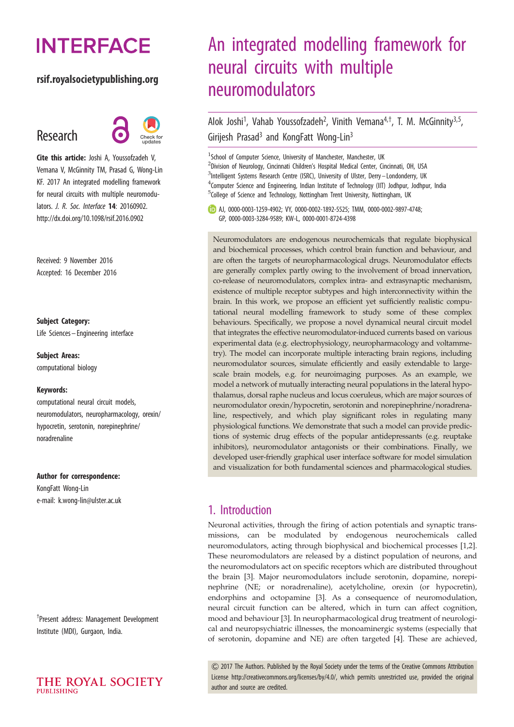# **INTERFACE**

## rsif.royalsocietypublishing.org

## Research



Cite this article: Joshi A, Youssofzadeh V, Vemana V, McGinnity TM, Prasad G, Wong-Lin KF. 2017 An integrated modelling framework for neural circuits with multiple neuromodulators. J. R. Soc. Interface 14: 20160902. http://dx.doi.org/10.1098/rsif.2016.0902

Received: 9 November 2016 Accepted: 16 December 2016

#### Subject Category:

Life Sciences – Engineering interface

#### Subject Areas:

computational biology

#### Keywords:

computational neural circuit models, neuromodulators, neuropharmacology, orexin/ hypocretin, serotonin, norepinephrine/ noradrenaline

#### Author for correspondence:

KongFatt Wong-Lin e-mail: [k.wong-lin@ulster.ac.uk](mailto:k.wong-lin@ulster.ac.uk)

† Present address: Management Development Institute (MDI), Gurgaon, India.



## An integrated modelling framework for neural circuits with multiple neuromodulators

Alok Joshi<sup>1</sup>, Vahab Youssofzadeh<sup>2</sup>, Vinith Vemana<sup>4,†</sup>, T. M. McGinnity<sup>3,5</sup>, Girijesh Prasad<sup>3</sup> and KongFatt Wong-Lin<sup>3</sup>

<sup>1</sup>School of Computer Science, University of Manchester, Manchester, UK <sup>2</sup>Division of Neurology, Cincinnati Children's Hospital Medical Center, Cincinnati, OH, USA <sup>3</sup>Intelligent Systems Research Centre (ISRC), University of Ulster, Derry-Londonderry, UK <sup>4</sup> Computer Science and Engineering, Indian Institute of Technology (IIT) Jodhpur, Jodhpur, India <sup>5</sup>College of Science and Technology, Nottingham Trent University, Nottingham, UK

AJ, [0000-0003-1259-4902;](http://orcid.org/0000-0003-1259-4902) VY, [0000-0002-1892-5525](http://orcid.org/0000-0002-1892-5525); TMM, [0000-0002-9897-4748](http://orcid.org/0000-0002-9897-4748); GP, [0000-0003-3284-9589](http://orcid.org/0000-0003-3284-9589); KW-L, [0000-0001-8724-4398](http://orcid.org/0000-0001-8724-4398)

Neuromodulators are endogenous neurochemicals that regulate biophysical and biochemical processes, which control brain function and behaviour, and are often the targets of neuropharmacological drugs. Neuromodulator effects are generally complex partly owing to the involvement of broad innervation, co-release of neuromodulators, complex intra- and extrasynaptic mechanism, existence of multiple receptor subtypes and high interconnectivity within the brain. In this work, we propose an efficient yet sufficiently realistic computational neural modelling framework to study some of these complex behaviours. Specifically, we propose a novel dynamical neural circuit model that integrates the effective neuromodulator-induced currents based on various experimental data (e.g. electrophysiology, neuropharmacology and voltammetry). The model can incorporate multiple interacting brain regions, including neuromodulator sources, simulate efficiently and easily extendable to largescale brain models, e.g. for neuroimaging purposes. As an example, we model a network of mutually interacting neural populations in the lateral hypothalamus, dorsal raphe nucleus and locus coeruleus, which are major sources of neuromodulator orexin/hypocretin, serotonin and norepinephrine/noradrenaline, respectively, and which play significant roles in regulating many physiological functions. We demonstrate that such a model can provide predictions of systemic drug effects of the popular antidepressants (e.g. reuptake inhibitors), neuromodulator antagonists or their combinations. Finally, we developed user-friendly graphical user interface software for model simulation and visualization for both fundamental sciences and pharmacological studies.

## 1. Introduction

Neuronal activities, through the firing of action potentials and synaptic transmissions, can be modulated by endogenous neurochemicals called neuromodulators, acting through biophysical and biochemical processes [\[1,2\]](#page-10-0). These neuromodulators are released by a distinct population of neurons, and the neuromodulators act on specific receptors which are distributed throughout the brain [[3](#page-10-0)]. Major neuromodulators include serotonin, dopamine, norepinephrine (NE; or noradrenaline), acetylcholine, orexin (or hypocretin), endorphins and octopamine [[3](#page-10-0)]. As a consequence of neuromodulation, neural circuit function can be altered, which in turn can affect cognition, mood and behaviour [\[3\]](#page-10-0). In neuropharmacological drug treatment of neurological and neuropsychiatric illnesses, the monoaminergic systems (especially that of serotonin, dopamine and NE) are often targeted [[4\]](#page-10-0). These are achieved,

& 2017 The Authors. Published by the Royal Society under the terms of the Creative Commons Attribution License http://creativecommons.org/licenses/by/4.0/, which permits unrestricted use, provided the original author and source are credited.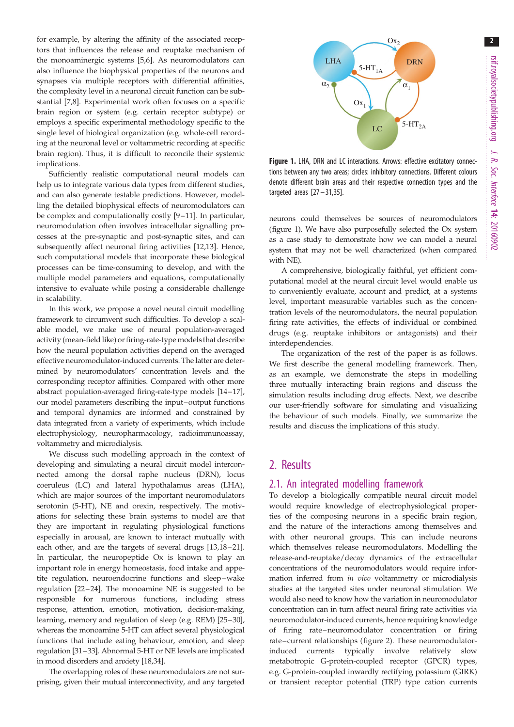2

for example, by altering the affinity of the associated receptors that influences the release and reuptake mechanism of the monoaminergic systems [\[5,6\]](#page-10-0). As neuromodulators can also influence the biophysical properties of the neurons and synapses via multiple receptors with differential affinities, the complexity level in a neuronal circuit function can be substantial [\[7,8\]](#page-10-0). Experimental work often focuses on a specific brain region or system (e.g. certain receptor subtype) or employs a specific experimental methodology specific to the single level of biological organization (e.g. whole-cell recording at the neuronal level or voltammetric recording at specific brain region). Thus, it is difficult to reconcile their systemic implications.

Sufficiently realistic computational neural models can help us to integrate various data types from different studies, and can also generate testable predictions. However, modelling the detailed biophysical effects of neuromodulators can be complex and computationally costly [\[9](#page-10-0)-[11\]](#page-10-0). In particular, neuromodulation often involves intracellular signalling processes at the pre-synaptic and post-synaptic sites, and can subsequently affect neuronal firing activities [\[12](#page-10-0),[13\]](#page-10-0). Hence, such computational models that incorporate these biological processes can be time-consuming to develop, and with the multiple model parameters and equations, computationally intensive to evaluate while posing a considerable challenge in scalability.

In this work, we propose a novel neural circuit modelling framework to circumvent such difficulties. To develop a scalable model, we make use of neural population-averaged activity (mean-field like) or firing-rate-type models that describe how the neural population activities depend on the averaged effective neuromodulator-induced currents. The latter are determined by neuromodulators' concentration levels and the corresponding receptor affinities. Compared with other more abstract population-averaged firing-rate-type models [[14](#page-10-0)–[17](#page-10-0)], our model parameters describing the input–output functions and temporal dynamics are informed and constrained by data integrated from a variety of experiments, which include electrophysiology, neuropharmacology, radioimmunoassay, voltammetry and microdialysis.

We discuss such modelling approach in the context of developing and simulating a neural circuit model interconnected among the dorsal raphe nucleus (DRN), locus coeruleus (LC) and lateral hypothalamus areas (LHA), which are major sources of the important neuromodulators serotonin (5-HT), NE and orexin, respectively. The motivations for selecting these brain systems to model are that they are important in regulating physiological functions especially in arousal, are known to interact mutually with each other, and are the targets of several drugs [[13,18](#page-10-0)–[21](#page-11-0)]. In particular, the neuropeptide Ox is known to play an important role in energy homeostasis, food intake and appetite regulation, neuroendocrine functions and sleep –wake regulation [\[22](#page-11-0) –[24\]](#page-11-0). The monoamine NE is suggested to be responsible for numerous functions, including stress response, attention, emotion, motivation, decision-making, learning, memory and regulation of sleep (e.g. REM) [[25](#page-11-0)–[30](#page-11-0)], whereas the monoamine 5-HT can affect several physiological functions that include eating behaviour, emotion, and sleep regulation [[31](#page-11-0)–[33](#page-11-0)]. Abnormal 5-HT or NE levels are implicated in mood disorders and anxiety [[18,](#page-10-0)[34\]](#page-11-0).

The overlapping roles of these neuromodulators are not surprising, given their mutual interconnectivity, and any targeted



Figure 1. LHA, DRN and LC interactions. Arrows: effective excitatory connections between any two areas; circles: inhibitory connections. Different colours denote different brain areas and their respective connection types and the targeted areas  $[27-31,35]$  $[27-31,35]$  $[27-31,35]$ .

neurons could themselves be sources of neuromodulators (figure 1). We have also purposefully selected the Ox system as a case study to demonstrate how we can model a neural system that may not be well characterized (when compared with NE).

A comprehensive, biologically faithful, yet efficient computational model at the neural circuit level would enable us to conveniently evaluate, account and predict, at a systems level, important measurable variables such as the concentration levels of the neuromodulators, the neural population firing rate activities, the effects of individual or combined drugs (e.g. reuptake inhibitors or antagonists) and their interdependencies.

The organization of the rest of the paper is as follows. We first describe the general modelling framework. Then, as an example, we demonstrate the steps in modelling three mutually interacting brain regions and discuss the simulation results including drug effects. Next, we describe our user-friendly software for simulating and visualizing the behaviour of such models. Finally, we summarize the results and discuss the implications of this study.

## 2. Results

## 2.1. An integrated modelling framework

To develop a biologically compatible neural circuit model would require knowledge of electrophysiological properties of the composing neurons in a specific brain region, and the nature of the interactions among themselves and with other neuronal groups. This can include neurons which themselves release neuromodulators. Modelling the release-and-reuptake/decay dynamics of the extracellular concentrations of the neuromodulators would require information inferred from in vivo voltammetry or microdialysis studies at the targeted sites under neuronal stimulation. We would also need to know how the variation in neuromodulator concentration can in turn affect neural firing rate activities via neuromodulator-induced currents, hence requiring knowledge of firing rate –neuromodulator concentration or firing rate–current relationships [\(figure 2\)](#page-2-0). These neuromodulatorinduced currents typically involve relatively slow metabotropic G-protein-coupled receptor (GPCR) types, e.g. G-protein-coupled inwardly rectifying potassium (GIRK) or transient receptor potential (TRP) type cation currents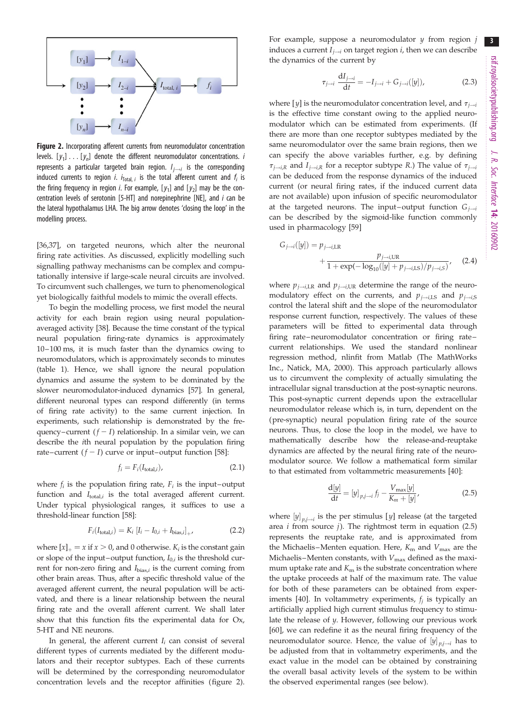<span id="page-2-0"></span>

Figure 2. Incorporating afferent currents from neuromodulator concentration levels.  $[y_1] \ldots [y_n]$  denote the different neuromodulator concentrations. *i* represents a particular targeted brain region.  $I_{i\rightarrow i}$  is the corresponding induced currents to region *i. i*<sub>Total, *i* is the total afferent current and  $f_i$  is</sub> the firing frequency in region *i*. For example,  $[y_1]$  and  $[y_2]$  may be the concentration levels of serotonin [5-HT] and norepinephrine [NE], and  $i$  can be the lateral hypothalamus LHA. The big arrow denotes 'closing the loop' in the modelling process.

[\[36](#page-11-0),[37\]](#page-11-0), on targeted neurons, which alter the neuronal firing rate activities. As discussed, explicitly modelling such signalling pathway mechanisms can be complex and computationally intensive if large-scale neural circuits are involved. To circumvent such challenges, we turn to phenomenological yet biologically faithful models to mimic the overall effects.

To begin the modelling process, we first model the neural activity for each brain region using neural populationaveraged activity [\[38\]](#page-11-0). Because the time constant of the typical neural population firing-rate dynamics is approximately 10–100 ms, it is much faster than the dynamics owing to neuromodulators, which is approximately seconds to minutes [\(table 1\)](#page-3-0). Hence, we shall ignore the neural population dynamics and assume the system to be dominated by the slower neuromodulator-induced dynamics [\[57\]](#page-11-0). In general, different neuronal types can respond differently (in terms of firing rate activity) to the same current injection. In experiments, such relationship is demonstrated by the frequency–current  $(f - I)$  relationship. In a similar vein, we can describe the ith neural population by the population firing rate–current  $(f - I)$  curve or input–output function [[58](#page-11-0)]:

$$
f_i = F_i(I_{\text{total},i}),\tag{2.1}
$$

where  $f_i$  is the population firing rate,  $F_i$  is the input–output function and  $I_{total,i}$  is the total averaged afferent current. Under typical physiological ranges, it suffices to use a threshold-linear function [\[58](#page-11-0)]:

$$
F_i(I_{\text{total},i}) = K_i \left[ I_i - I_{0,i} + I_{\text{bias},i} \right]_{+},\tag{2.2}
$$

where  $[x]_{+} = x$  if  $x > 0$ , and 0 otherwise.  $K_i$  is the constant gain or slope of the input–output function,  $I_{0,i}$  is the threshold current for non-zero firing and  $I_{bias,i}$  is the current coming from other brain areas. Thus, after a specific threshold value of the averaged afferent current, the neural population will be activated, and there is a linear relationship between the neural firing rate and the overall afferent current. We shall later show that this function fits the experimental data for Ox, 5-HT and NE neurons.

In general, the afferent current  $I_i$  can consist of several different types of currents mediated by the different modulators and their receptor subtypes. Each of these currents will be determined by the corresponding neuromodulator concentration levels and the receptor affinities (figure 2).

For example, suppose a neuromodulator  $y$  from region  $j$ induces a current  $I_{j\rightarrow i}$  on target region *i*, then we can describe the dynamics of the current by

$$
\tau_{j \to i} \frac{\mathrm{d} I_{j \to i}}{\mathrm{d} t} = -I_{j \to i} + G_{j \to i}([y]),\tag{2.3}
$$

where [y] is the neuromodulator concentration level, and  $\tau_{i\rightarrow i}$ is the effective time constant owing to the applied neuromodulator which can be estimated from experiments. (If there are more than one receptor subtypes mediated by the same neuromodulator over the same brain regions, then we can specify the above variables further, e.g. by defining  $\tau_{i\rightarrow i,R}$  and  $I_{i\rightarrow i,R}$  for a receptor subtype R.) The value of  $\tau_{i\rightarrow i}$ can be deduced from the response dynamics of the induced current (or neural firing rates, if the induced current data are not available) upon infusion of specific neuromodulator at the targeted neurons. The input-output function  $G_{j \to i}$ can be described by the sigmoid-like function commonly used in pharmacology [[59\]](#page-11-0)

$$
G_{j \to i}([y]) = p_{j \to i, \text{LR}} \frac{p_{j \to i, \text{UR}}}{1 + \exp(-\log_{10}([y] + p_{j \to i, \text{LS}})/p_{j \to i, \text{S}})},
$$
(2.4)

where  $p_{i\rightarrow i,\text{LR}}$  and  $p_{i\rightarrow i,\text{UR}}$  determine the range of the neuromodulatory effect on the currents, and  $p_{j \rightarrow i,LS}$  and  $p_{j \rightarrow i,S}$ control the lateral shift and the slope of the neuromodulator response current function, respectively. The values of these parameters will be fitted to experimental data through firing rate–neuromodulator concentration or firing rate – current relationships. We used the standard nonlinear regression method, nlinfit from Matlab (The MathWorks Inc., Natick, MA, 2000). This approach particularly allows us to circumvent the complexity of actually simulating the intracellular signal transduction at the post-synaptic neurons. This post-synaptic current depends upon the extracellular neuromodulator release which is, in turn, dependent on the (pre-synaptic) neural population firing rate of the source neurons. Thus, to close the loop in the model, we have to mathematically describe how the release-and-reuptake dynamics are affected by the neural firing rate of the neuromodulator source. We follow a mathematical form similar to that estimated from voltammetric measurements [\[40](#page-11-0)]:

$$
\frac{\mathrm{d}[y]}{\mathrm{d}t} = [y]_{p,j \to i} f_j - \frac{V_{\text{max}}[y]}{K_m + [y]},\tag{2.5}
$$

where  $[y]_{v,i\rightarrow i}$  is the per stimulus [y] release (at the targeted area *i* from source *j*). The rightmost term in equation  $(2.5)$ represents the reuptake rate, and is approximated from the Michaelis–Menten equation. Here,  $K_{\rm m}$  and  $V_{\rm max}$  are the Michaelis–Menten constants, with  $V_{\text{max}}$  defined as the maximum uptake rate and  $K<sub>m</sub>$  is the substrate concentration where the uptake proceeds at half of the maximum rate. The value for both of these parameters can be obtained from exper-iments [\[40](#page-11-0)]. In voltammetry experiments,  $f_i$  is typically an artificially applied high current stimulus frequency to stimulate the release of y. However, following our previous work [[60\]](#page-11-0), we can redefine it as the neural firing frequency of the neuromodulator source. Hence, the value of  $[y]_{v,i\rightarrow i}$  has to be adjusted from that in voltammetry experiments, and the exact value in the model can be obtained by constraining the overall basal activity levels of the system to be within the observed experimental ranges (see below).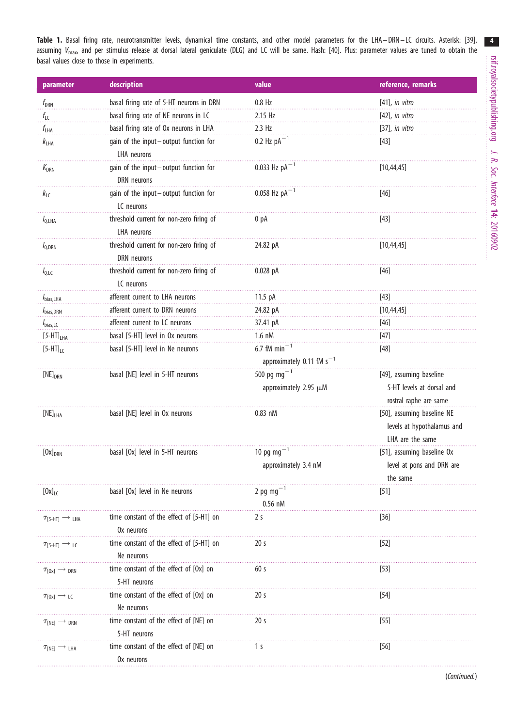<span id="page-3-0"></span>Table 1. Basal firing rate, neurotransmitter levels, dynamical time constants, and other model parameters for the LHA-DRN-LC circuits. Asterisk: [[39](#page-11-0)], assuming  $V_{\text{max}}$  and per stimulus release at dorsal lateral geniculate (DLG) and LC will be same. Hash: [[40](#page-11-0)]. Plus: parameter values are tuned to obtain the basal values close to those in experiments.

| parameter                                   | description                                             | value                                                | reference, remarks                                                             |
|---------------------------------------------|---------------------------------------------------------|------------------------------------------------------|--------------------------------------------------------------------------------|
| $f_{\rm{DRN}}$                              | basal firing rate of 5-HT neurons in DRN                | $0.8$ Hz                                             | $[41]$ , in vitro                                                              |
| $f_{\text{LC}}$                             | basal firing rate of NE neurons in LC                   | 2.15 Hz                                              | $[42]$ , in vitro                                                              |
| $f_{LHA}$                                   | basal firing rate of Ox neurons in LHA                  | $2.3$ Hz                                             | $[37]$ , in vitro                                                              |
| k <sub>LHA</sub>                            | gain of the input-output function for                   | 0.2 Hz $pA^{-1}$                                     | $[43]$                                                                         |
|                                             | LHA neurons                                             |                                                      |                                                                                |
| $K_{\text{DRN}}$                            | gain of the input-output function for<br>DRN neurons    | 0.033 Hz $pA^{-1}$                                   | [10, 44, 45]                                                                   |
| $k_{\text{LC}}$                             | gain of the input-output function for<br>LC neurons     | 0.058 Hz $pA^{-1}$                                   | $[46]$                                                                         |
| $I_{0, LHA}$                                | threshold current for non-zero firing of<br>LHA neurons | 0 pA                                                 | $[43]$                                                                         |
| $I_{0,DRN}$                                 | threshold current for non-zero firing of<br>DRN neurons | 24.82 pA                                             | [10, 44, 45]                                                                   |
| $I_{0,\text{LC}}$                           | threshold current for non-zero firing of<br>LC neurons  | $0.028$ pA                                           | $[46]$                                                                         |
| I <sub>bias,LHA</sub>                       | afferent current to LHA neurons                         | 11.5 pA                                              | $[43]$                                                                         |
| $I_{bias,DRN}$                              | afferent current to DRN neurons                         | 24.82 pA                                             | [10, 44, 45]                                                                   |
| $I_{bias, LC}$                              | afferent current to LC neurons                          | 37.41 pA                                             | $[46]$                                                                         |
| $[5-HT]_{LHA}$                              | basal [5-HT] level in Ox neurons                        | $1.6$ nM                                             | $[47]$                                                                         |
| $[5-HT]_{LC}$                               | basal [5-HT] level in Ne neurons                        | 6.7 fM min $^{-1}$<br>approximately 0.11 fM $s^{-1}$ | $[48]$                                                                         |
| $[NE]_{DRN}$                                | basal [NE] level in 5-HT neurons                        | 500 pg mg $^{-1}$<br>approximately 2.95 $\mu$ M      | [49], assuming baseline<br>5-HT levels at dorsal and<br>rostral raphe are same |
| $[NE]_{LHA}$                                | basal [NE] level in Ox neurons                          | $0.83$ nM                                            | [50], assuming baseline NE<br>levels at hypothalamus and<br>LHA are the same   |
| $[0x]_{DRN}$                                | basal [Ox] level in 5-HT neurons                        | 10 pg mg $^{-1}$<br>approximately 3.4 nM             | [51], assuming baseline Ox<br>level at pons and DRN are<br>the same            |
| $[0x]_{LC}$                                 | basal [Ox] level in Ne neurons                          | 2 pg mg $^{-1}$<br>$0.56$ nM                         | [51]                                                                           |
| $\tau_{[5-HT]} \rightarrow$ LHA             | time constant of the effect of [5-HT] on<br>Ox neurons  | 2 s                                                  | $[36]$                                                                         |
| $\tau_{5-HTI} \rightarrow \tau_{IC}$        | time constant of the effect of [5-HT] on<br>Ne neurons  | 20 s                                                 | $[52]$                                                                         |
| $\tau_{\text{[Ox]}} \rightarrow$ DRN        | time constant of the effect of [Ox] on<br>5-HT neurons  | 60 s                                                 | $[53]$                                                                         |
| $\tau_{[0x]} \rightarrow Lc$                | time constant of the effect of [Ox] on<br>Ne neurons    | 20 <sub>s</sub>                                      | [54]                                                                           |
| $\tau_{\text{[NE]}} \rightarrow$ DRN        | time constant of the effect of [NE] on<br>5-HT neurons  | 20 s                                                 | $[55]$                                                                         |
| $\tau_{\texttt{[NE]}} \rightarrow \tau$ LHA | time constant of the effect of [NE] on<br>Ox neurons    | 1 s                                                  | $[56]$                                                                         |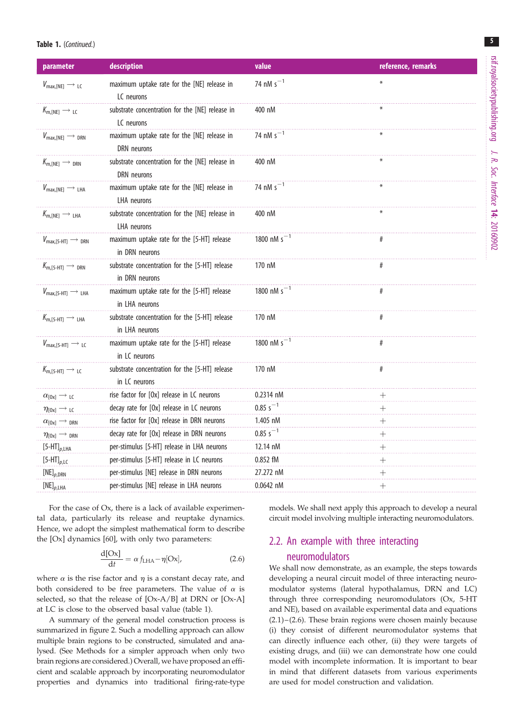#### Table 1. (Continued.)

| parameter                                        | description                                                      | value            | reference, remarks |
|--------------------------------------------------|------------------------------------------------------------------|------------------|--------------------|
| $V_{\text{max,[NE]}} \rightarrow$ LC             | maximum uptake rate for the [NE] release in<br>LC neurons        | 74 nM $s^{-1}$   | ₩                  |
| $K_{m,[NE]} \longrightarrow LC$                  | substrate concentration for the [NE] release in<br>LC neurons    | 400 nM           |                    |
| $V_{\text{max,[NE]}} \rightarrow_{\text{DRN}}$   | maximum uptake rate for the [NE] release in<br>DRN neurons       | 74 nM $s^{-1}$   |                    |
| $K_{m,[NE]} \longrightarrow_{DRN}$               | substrate concentration for the [NE] release in<br>DRN neurons   | 400 nM           |                    |
| $V_{\text{max,[NE]}} \rightarrow$ LHA            | maximum uptake rate for the [NE] release in<br>LHA neurons       | 74 nM $s^{-1}$   |                    |
| $K_{m,[NE]} \longrightarrow$ LHA                 | substrate concentration for the [NE] release in<br>LHA neurons   | 400 nM           |                    |
| $V_{\text{max,[5-HT]}} \rightarrow_{\text{DRN}}$ | maximum uptake rate for the [5-HT] release<br>in DRN neurons     | 1800 nM $s^{-1}$ |                    |
| $K_{m,[5-HT]} \longrightarrow_{DRN}$             | substrate concentration for the [5-HT] release<br>in DRN neurons | 170 nM           | #                  |
| $V_{\text{max,[5-HT]}} \longrightarrow$ LHA      | maximum uptake rate for the [5-HT] release<br>in LHA neurons     | 1800 nM $s^{-1}$ | #                  |
| $K_{m,[5-HT]} \longrightarrow$ LHA               | substrate concentration for the [5-HT] release<br>in LHA neurons | 170 nM           | #                  |
| $V_{\text{max,[5-HII]}} \rightarrow \text{LC}$   | maximum uptake rate for the [5-HT] release<br>in LC neurons      | 1800 nM $s^{-1}$ | #                  |
| $K_{m,[5-HT]} \longrightarrow LC$                | substrate concentration for the [5-HT] release<br>in LC neurons  | 170 nM           | #                  |
| $\alpha_{[0x]}\rightarrow{}$ LC                  | rise factor for [Ox] release in LC neurons                       | 0.2314 nM        |                    |
| $\eta_{[0x]}\to$ LC                              | decay rate for [Ox] release in LC neurons                        | $0.85 s^{-1}$    |                    |
| $\alpha_{\text{[Ox]}} \longrightarrow$ DRN       | rise factor for [Ox] release in DRN neurons                      | 1.405 nM         |                    |
| $\eta_{\text{[Ox]}} \rightarrow$ DRN             | decay rate for [Ox] release in DRN neurons                       | $0.85 s^{-1}$    |                    |
| $[5-HT]_{p,\text{LHA}}$                          | per-stimulus [5-HT] release in LHA neurons                       | 12.14 nM         |                    |
| $[5-HT]_{p,\text{LC}}$                           | per-stimulus [5-HT] release in LC neurons                        | 0.852 fM         |                    |
| $[NE]_{p,DRN}$                                   | per-stimulus [NE] release in DRN neurons                         | 27.272 nM        |                    |
| $[NE]_{p,\text{LHA}}$                            | per-stimulus [NE] release in LHA neurons                         | $0.0642$ nM      |                    |

For the case of Ox, there is a lack of available experimental data, particularly its release and reuptake dynamics. Hence, we adopt the simplest mathematical form to describe the [Ox] dynamics [\[60](#page-11-0)], with only two parameters:

$$
\frac{d[Ox]}{dt} = \alpha f_{LHA} - \eta[Ox],
$$
\n(2.6)

where  $\alpha$  is the rise factor and  $\eta$  is a constant decay rate, and both considered to be free parameters. The value of  $\alpha$  is selected, so that the release of [Ox-A/B] at DRN or [Ox-A] at LC is close to the observed basal value ([table 1](#page-3-0)).

A summary of the general model construction process is summarized in [figure 2](#page-2-0). Such a modelling approach can allow multiple brain regions to be constructed, simulated and analysed. (See Methods for a simpler approach when only two brain regions are considered.) Overall, we have proposed an efficient and scalable approach by incorporating neuromodulator properties and dynamics into traditional firing-rate-type models. We shall next apply this approach to develop a neural circuit model involving multiple interacting neuromodulators.

## 2.2. An example with three interacting neuromodulators

We shall now demonstrate, as an example, the steps towards developing a neural circuit model of three interacting neuromodulator systems (lateral hypothalamus, DRN and LC) through three corresponding neuromodulators (Ox, 5-HT and NE), based on available experimental data and equations  $(2.1)$  –  $(2.6)$ . These brain regions were chosen mainly because (i) they consist of different neuromodulator systems that can directly influence each other, (ii) they were targets of existing drugs, and (iii) we can demonstrate how one could model with incomplete information. It is important to bear in mind that different datasets from various experiments are used for model construction and validation.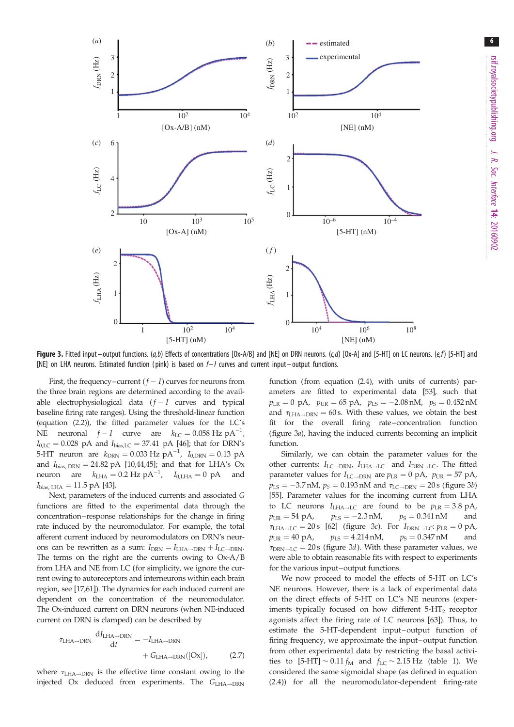<span id="page-5-0"></span>

Figure 3. Fitted input – output functions.  $(a,b)$  Effects of concentrations [Ox-A/B] and [NE] on DRN neurons.  $(c,d)$  [Ox-A] and [5-HT] on LC neurons.  $(e,f)$  [5-HT] and [NE] on LHA neurons. Estimated function (pink) is based on  $f-1$  curves and current input – output functions.

First, the frequency–current  $(f - I)$  curves for neurons from the three brain regions are determined according to the available electrophysiological data  $(f - I$  curves and typical baseline firing rate ranges). Using the threshold-linear function (equation (2.2)), the fitted parameter values for the LC's NE neuronal  $f - I$  curve are  $k_{\text{LC}} = 0.058 \text{ Hz } \text{pA}^{-1}$ ,  $I_{0,\text{LC}} = 0.028 \text{ pA}$  and  $I_{\text{bias,LC}} = 37.41 \text{ pA}$  [\[46](#page-11-0)]; that for DRN's 5-HT neuron are  $k_{\text{DRN}} = 0.033 \text{ Hz } \text{pA}^{-1}$ ,  $I_{0,\text{DRN}} = 0.13 \text{ pA}$ and  $I_{bias, DRN} = 24.82 \text{ pA}$  [\[10](#page-10-0)[,44,45\]](#page-11-0); and that for LHA's Ox neuron are  $k_{\text{LHA}} = 0.2 \text{ Hz } \text{pA}^{-1}$ ,  $I_{0,\text{LHA}} = 0 \text{ pA}$  and  $I_{bias, LHA} = 11.5 \text{ pA} [43].$  $I_{bias, LHA} = 11.5 \text{ pA} [43].$  $I_{bias, LHA} = 11.5 \text{ pA} [43].$ 

Next, parameters of the induced currents and associated G functions are fitted to the experimental data through the concentration–response relationships for the change in firing rate induced by the neuromodulator. For example, the total afferent current induced by neuromodulators on DRN's neurons can be rewritten as a sum:  $I_{\text{DRN}} = I_{\text{LHA} \rightarrow \text{DRN}} + I_{\text{LC} \rightarrow \text{DRN}}$ . The terms on the right are the currents owing to Ox-A/B from LHA and NE from LC (for simplicity, we ignore the current owing to autoreceptors and interneurons within each brain region, see [[17](#page-10-0)[,61](#page-12-0)]). The dynamics for each induced current are dependent on the concentration of the neuromodulator. The Ox-induced current on DRN neurons (when NE-induced current on DRN is clamped) can be described by

$$
\tau_{\text{LHA}\to\text{DRN}} \frac{dI_{\text{LHA}\to\text{DRN}}}{dt} = -I_{\text{LHA}\to\text{DRN}} + G_{\text{LHA}\to\text{DRN}}([Ox]), \qquad (2.7)
$$

where  $\tau_{\text{LHA}\rightarrow\text{DRN}}$  is the effective time constant owing to the injected Ox deduced from experiments. The  $G_{\text{LHA}\rightarrow\text{DRN}}$ 

function (from equation (2.4), with units of currents) parameters are fitted to experimental data [\[53](#page-11-0)], such that  $p_{LR} = 0$  pA,  $p_{UR} = 65$  pA,  $p_{LS} = -2.08$  nM,  $p_S = 0.452$  nM and  $\tau_{\text{LHA}\rightarrow\text{DRN}} = 60 \text{ s}$ . With these values, we obtain the best fit for the overall firing rate–concentration function (figure 3a), having the induced currents becoming an implicit function.

Similarly, we can obtain the parameter values for the other currents:  $I_{\text{LC}\rightarrow\text{DRN}}$ ,  $I_{\text{LHA}\rightarrow\text{LC}}$  and  $I_{\text{DRN}\rightarrow\text{LC}}$ . The fitted parameter values for  $I_{\text{LC}\rightarrow\text{DRN}}$  are  $p_{\text{LR}} = 0$  pA,  $p_{\text{UR}} = 57$  pA,  $p_{\rm LS} = -3.7\,\rm{nM},\,p_S = 0.193\,\rm{nM}$  and  $\tau_{\rm LC\to DRN} = 20\,\rm{s}$  (figure 3b) [[55](#page-11-0)]. Parameter values for the incoming current from LHA to LC neurons  $I_{\text{LHA}\rightarrow\text{LC}}$  are found to be  $p_{\text{LR}} = 3.8 \text{ pA}$ ,  $p_{\text{UR}} = 54 \text{ pA}, \qquad p_{\text{IS}} = -2.3 \text{ nM},$  $p_S = 0.341 \text{ nM}$  and  $\tau_{LHA\rightarrow LC} = 20 \text{ s } [62]$  $\tau_{LHA\rightarrow LC} = 20 \text{ s } [62]$  $\tau_{LHA\rightarrow LC} = 20 \text{ s } [62]$  (figure 3c). For  $I_{DRN\rightarrow LC}: p_{LR} = 0 \text{ pA}$ ,  $p_{UR} = 40 \text{ pA}, \qquad p_{LS} = 4.214 \text{ nM}, \qquad p_S = 0.347 \text{ nM} \qquad \text{and}$  $\tau_{\text{DRN} \rightarrow \text{LC}} = 20 \text{ s}$  (figure 3*d*). With these parameter values, we were able to obtain reasonable fits with respect to experiments for the various input–output functions.

We now proceed to model the effects of 5-HT on LC's NE neurons. However, there is a lack of experimental data on the direct effects of 5-HT on LC's NE neurons (experiments typically focused on how different  $5-HT<sub>2</sub>$  receptor agonists affect the firing rate of LC neurons [\[63](#page-12-0)]). Thus, to estimate the 5-HT-dependent input-output function of firing frequency, we approximate the input-output function from other experimental data by restricting the basal activities to  $[5-HT] \sim 0.11 f_M$  and  $f_{LC} \sim 2.15 Hz$  ([table 1\)](#page-3-0). We considered the same sigmoidal shape (as defined in equation (2.4)) for all the neuromodulator-dependent firing-rate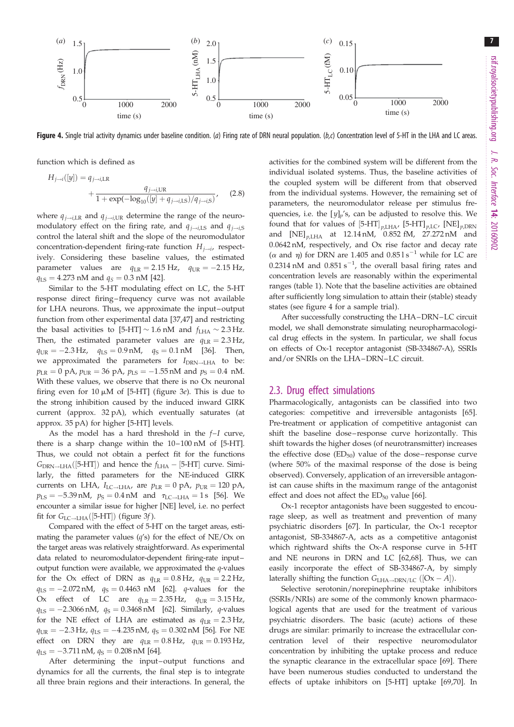

Figure 4. Single trial activity dynamics under baseline condition. (a) Firing rate of DRN neural population. (b,c) Concentration level of 5-HT in the LHA and LC areas.

function which is defined as

$$
H_{j \to i}([y]) = q_{j \to i, \text{LR}}
$$
  
+ 
$$
\frac{q_{j \to i, \text{UR}}}{1 + \exp(-\log_{10}([y] + q_{j \to i, \text{LS}})/q_{j \to i, \text{S}})}
$$
(2.8)

where  $q_{j \rightarrow i,\text{LR}}$  and  $q_{j \rightarrow i,\text{UR}}$  determine the range of the neuromodulatory effect on the firing rate, and  $q_{i\rightarrow i,S}$  and  $q_{i\rightarrow i,S}$ control the lateral shift and the slope of the neuromodulator concentration-dependent firing-rate function  $H_{j\rightarrow i}$ , respectively. Considering these baseline values, the estimated parameter values are  $q_{LR} = 2.15 \text{ Hz}$ ,  $q_{UR} = -2.15 \text{ Hz}$ ,  $q_{\text{LS}} = 4.273 \text{ nM}$  and  $q_S = 0.3 \text{ nM}$  [\[42](#page-11-0)].

Similar to the 5-HT modulating effect on LC, the 5-HT response direct firing – frequency curve was not available for LHA neurons. Thus, we approximate the input-output function from other experimental data [\[37,47](#page-11-0)] and restricting the basal activities to  $[5-HT] \sim 1.6$  nM and  $f_{LHA} \sim 2.3$  Hz. Then, the estimated parameter values are  $q_{LR} = 2.3 \text{ Hz}$ ,  $q_{\text{UR}} = -2.3 \,\text{Hz}$ ,  $q_{\text{LS}} = 0.9 \,\text{nM}$ ,  $q_{\text{S}} = 0.1 \,\text{nM}$  [\[36](#page-11-0)]. Then, we approximated the parameters for  $I_{DRN \to I,HA}$  to be:  $p_\text{LR}=0$  pA,  $p_\text{UR}=36$  pA,  $p_\text{LS}=-1.55\,\text{nM}$  and  $p_\text{S}=0.4\,$  nM. With these values, we observe that there is no Ox neuronal firing even for 10  $\mu$ M of [5-HT] [\(figure 3](#page-5-0)e). This is due to the strong inhibition caused by the induced inward GIRK current (approx. 32 pA), which eventually saturates (at approx. 35 pA) for higher [5-HT] levels.

As the model has a hard threshold in the f–I curve, there is a sharp change within the 10–100 nM of [5-HT]. Thus, we could not obtain a perfect fit for the functions  $G_{\text{DRN}\rightarrow \text{LHA}}([5\text{-}HT])$  and hence the  $f_{\text{LHA}}-[5\text{-}HT]$  curve. Similarly, the fitted parameters for the NE-induced GIRK currents on LHA,  $I_{\text{LC}\rightarrow \text{LHA}}$ , are  $p_{\text{LR}} = 0$  pA,  $p_{\text{UR}} = 120$  pA,  $p_{\text{LS}} = -5.39 \,\text{nM}$ ,  $p_{\text{S}} = 0.4 \,\text{nM}$  and  $\tau_{\text{LC} \rightarrow \text{LHA}} = 1 \,\text{s}$  [[56](#page-11-0)]. We encounter a similar issue for higher [NE] level, i.e. no perfect fit for  $G_{\text{LC}\rightarrow\text{LHA}}([5\text{-}HT])$  [\(figure 3](#page-5-0)f).

Compared with the effect of 5-HT on the target areas, estimating the parameter values  $(q's)$  for the effect of NE/Ox on the target areas was relatively straightforward. As experimental data related to neuromodulator-dependent firing-rate input– output function were available, we approximated the  $q$ -values for the Ox effect of DRN as  $q_{LR} = 0.8 \text{ Hz}$ ,  $q_{UR} = 2.2 \text{ Hz}$ ,  $q_{\text{LS}} = -2.072 \,\text{nM}$ ,  $q_{\text{S}} = 0.4463 \,\text{nM}$  [\[62\]](#page-12-0). *q*-values for the Ox effect of LC are  $q_{LR} = 2.35$  Hz,  $q_{UR} = 3.15$  Hz,  $q_{\text{LS}} = -2.3066 \,\text{nM}$ ,  $q_{\text{S}} = 0.3468 \,\text{nM}$  [[62](#page-12-0)]. Similarly, q-values for the NE effect of LHA are estimated as  $q_{LR} = 2.3$  Hz,  $q_{\text{UR}} = -2.3 \,\text{Hz}$ ,  $q_{\text{LS}} = -4.235 \,\text{nM}$ ,  $q_{\text{S}} = 0.302 \,\text{nM}$  [\[56](#page-11-0)]. For NE effect on DRN they are  $q_{LR} = 0.8 \text{ Hz}$ ,  $q_{UR} = 0.193 \text{ Hz}$ ,  $q_{\text{LS}} = -3.711 \,\text{nM}$ ,  $q_{\text{S}} = 0.208 \,\text{nM}$  [[64](#page-12-0)].

After determining the input-output functions and dynamics for all the currents, the final step is to integrate all three brain regions and their interactions. In general, the activities for the combined system will be different from the individual isolated systems. Thus, the baseline activities of the coupled system will be different from that observed from the individual systems. However, the remaining set of parameters, the neuromodulator release per stimulus frequencies, i.e. the  $[y]_p$ 's, can be adjusted to resolve this. We found that for values of  $[5-HT]_{p,\text{LHA'}}$   $[5-HT]_{p,\text{LC}}$ ,  $[NE]_{p,\text{DRN}}$ and  $[NE]_{p,LHA}$  at 12.14 nM, 0.852 fM, 27.272 nM and 0:0642 nM, respectively, and Ox rise factor and decay rate ( $\alpha$  and  $\eta$ ) for DRN are 1.405 and 0.85 l s<sup>-1</sup> while for LC are 0.2314 nM and  $0.851 s^{-1}$ , the overall basal firing rates and concentration levels are reasonably within the experimental ranges [\(table 1](#page-3-0)). Note that the baseline activities are obtained after sufficiently long simulation to attain their (stable) steady states (see figure 4 for a sample trial).

After successfully constructing the LHA–DRN–LC circuit model, we shall demonstrate simulating neuropharmacological drug effects in the system. In particular, we shall focus on effects of Ox-1 receptor antagonist (SB-334867-A), SSRIs and/or SNRIs on the LHA–DRN–LC circuit.

#### 2.3. Drug effect simulations

Pharmacologically, antagonists can be classified into two categories: competitive and irreversible antagonists [[65\]](#page-12-0). Pre-treatment or application of competitive antagonist can shift the baseline dose – response curve horizontally. This shift towards the higher doses (of neurotransmitter) increases the effective dose  $(ED_{50})$  value of the dose-response curve (where 50% of the maximal response of the dose is being observed). Conversely, application of an irreversible antagonist can cause shifts in the maximum range of the antagonist effect and does not affect the  $ED_{50}$  value [\[66](#page-12-0)].

Ox-1 receptor antagonists have been suggested to encourage sleep, as well as treatment and prevention of many psychiatric disorders [\[67](#page-12-0)]. In particular, the Ox-1 receptor antagonist, SB-334867-A, acts as a competitive antagonist which rightward shifts the Ox-A response curve in 5-HT and NE neurons in DRN and LC [\[62,68](#page-12-0)]. Thus, we can easily incorporate the effect of SB-334867-A, by simply laterally shifting the function  $G_{\text{LHA}\rightarrow\text{DRN/LC}}$  ([Ox – A]).

Selective serotonin/norepinephrine reuptake inhibitors (SSRIs/NRIs) are some of the commonly known pharmacological agents that are used for the treatment of various psychiatric disorders. The basic (acute) actions of these drugs are similar: primarily to increase the extracellular concentration level of their respective neuromodulator concentration by inhibiting the uptake process and reduce the synaptic clearance in the extracellular space [[69](#page-12-0)]. There have been numerous studies conducted to understand the effects of uptake inhibitors on [5-HT] uptake [[69,70\]](#page-12-0). In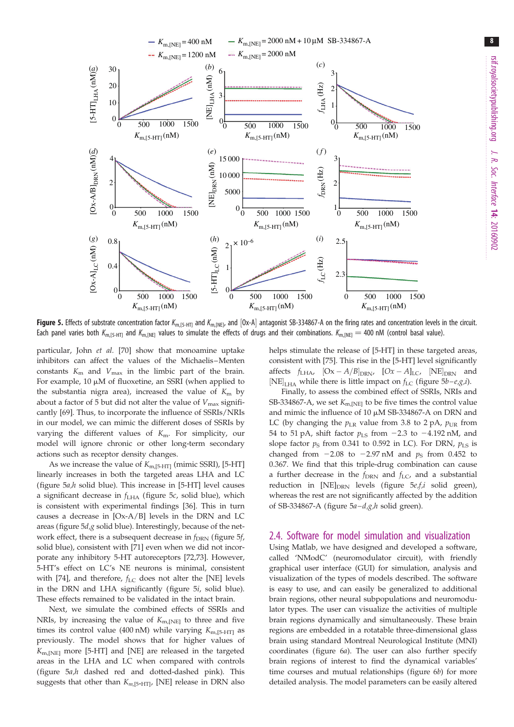<span id="page-7-0"></span>

Figure 5. Effects of substrate concentration factor  $K_{m,[5-HT]}$  and  $K_{m,[NE]}$ , and  $[0x-A]$  antagonist SB-334867-A on the firing rates and concentration levels in the circuit. Each panel varies both K<sub>m,[5-HT]</sub> and K<sub>m,[NE]</sub> values to simulate the effects of drugs and their combinations. K<sub>m,[NE]</sub> = 400 nM (control basal value).

particular, John et al. [\[70](#page-12-0)] show that monoamine uptake inhibitors can affect the values of the Michaelis–Menten constants  $K<sub>m</sub>$  and  $V<sub>max</sub>$  in the limbic part of the brain. For example,  $10 \mu M$  of fluoxetine, an SSRI (when applied to the substantia nigra area), increased the value of  $K<sub>m</sub>$  by about a factor of 5 but did not alter the value of  $V_{\text{max}}$  significantly [\[69](#page-12-0)]. Thus, to incorporate the influence of SSRIs/NRIs in our model, we can mimic the different doses of SSRIs by varying the different values of  $K_m$ . For simplicity, our model will ignore chronic or other long-term secondary actions such as receptor density changes.

As we increase the value of  $K_{m,[5\text{-}HT]}$  (mimic SSRI), [5-HT] linearly increases in both the targeted areas LHA and LC (figure  $5a,h$  solid blue). This increase in [5-HT] level causes a significant decrease in  $f_{LHA}$  (figure 5c, solid blue), which is consistent with experimental findings [[36\]](#page-11-0). This in turn causes a decrease in [Ox-A/B] levels in the DRN and LC areas (figure  $5d$ ,g solid blue). Interestingly, because of the network effect, there is a subsequent decrease in  $f_{\text{DRN}}$  (figure 5f, solid blue), consistent with [\[71](#page-12-0)] even when we did not incorporate any inhibitory 5-HT autoreceptors [[72,73](#page-12-0)]. However, 5-HT's effect on LC's NE neurons is minimal, consistent with [[74\]](#page-12-0), and therefore,  $f_{\text{LC}}$  does not alter the [NE] levels in the DRN and LHA significantly (figure 5i, solid blue). These effects remained to be validated in the intact brain.

Next, we simulate the combined effects of SSRIs and NRIs, by increasing the value of  $K_{m,[NE]}$  to three and five times its control value (400 nM) while varying  $K_{\text{m,[5-HT]}}$  as previously. The model shows that for higher values of  $K_{\text{m,INE1}}$  more [5-HT] and [NE] are released in the targeted areas in the LHA and LC when compared with controls (figure 5a,h dashed red and dotted-dashed pink). This suggests that other than  $K_{m,[5-HTI]}$ , [NE] release in DRN also helps stimulate the release of [5-HT] in these targeted areas, consistent with [[75\]](#page-12-0). This rise in the [5-HT] level significantly affects  $f_{LHA}$ ,  $[Ox - A/B]_{DRN}$ ,  $[Ox - A]_{LC}$ ,  $[NE]_{DRN}$  and [NE]<sub>LHA</sub> while there is little impact on  $f_{LC}$  (figure  $5b - e, g, i$ ).

Finally, to assess the combined effect of SSRIs, NRIs and SB-334867-A, we set  $K_{\text{m INEI}}$  to be five times the control value and mimic the influence of 10  $\mu$ M SB-334867-A on DRN and LC (by changing the  $p_{LR}$  value from 3.8 to 2 pA,  $p_{UR}$  from 54 to 51 pA, shift factor  $p_{LS}$  from  $-2.3$  to  $-4.192$  nM, and slope factor  $p_S$  from 0.341 to 0.592 in LC). For DRN,  $p_{LS}$  is changed from  $-2.08$  to  $-2.97$  nM and  $p<sub>S</sub>$  from 0.452 to 0.367. We find that this triple-drug combination can cause a further decrease in the  $f_{\text{DRN}}$  and  $f_{\text{LC}}$ , and a substantial reduction in  $[NE]_{DRN}$  levels (figure  $5e, f, i$  solid green), whereas the rest are not significantly affected by the addition of SB-334867-A (figure  $5a-d, g, h$  solid green).

## 2.4. Software for model simulation and visualization

Using Matlab, we have designed and developed a software, called 'NModC' (neuromodulator circuit), with friendly graphical user interface (GUI) for simulation, analysis and visualization of the types of models described. The software is easy to use, and can easily be generalized to additional brain regions, other neural subpopulations and neuromodulator types. The user can visualize the activities of multiple brain regions dynamically and simultaneously. These brain regions are embedded in a rotatable three-dimensional glass brain using standard Montreal Neurological Institute (MNI) coordinates [\(figure 6](#page-8-0)a). The user can also further specify brain regions of interest to find the dynamical variables' time courses and mutual relationships [\(figure 6](#page-8-0)b) for more detailed analysis. The model parameters can be easily altered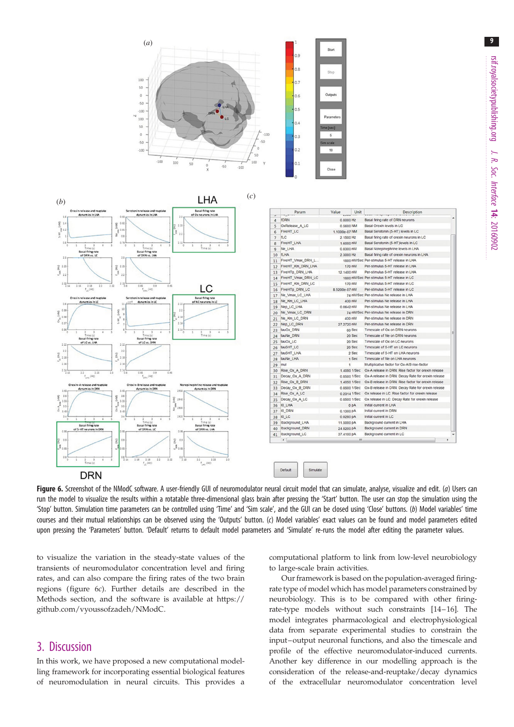9

<span id="page-8-0"></span>



| ٠  | Param              | Value         | Unit            | Description                                         |   |
|----|--------------------|---------------|-----------------|-----------------------------------------------------|---|
| 4  | <b>fDRN</b>        | 0.8000 Hz     |                 | Basal firing rate of DRN neurons                    |   |
| 5  | OxRelease A LC     | 0.5600 NM     |                 | Basal Orexin levels in LC                           |   |
| 6  | <b>FiveHT LC</b>   | 1.1000e-07 NM |                 | Basal Serotonin (5-HT) levels in LC                 |   |
| 7  | <b>TLC</b>         | 2.1500 Hz     |                 | Basal firing rate of orexin neurons in LC           |   |
| 8  | <b>FiveHT LHA</b>  |               | 1.6000 nM       | Basal Serotonin (5-HT)levels in LC                  |   |
| 9  | Ne_LHA             |               | 0.8300 nM       | Basal Norepinephrine levels in LHA                  |   |
| 10 | <b>TLHA</b>        | 2.3000 Hz     |                 | Basal firing rate of orexin neurons in LHA          |   |
| 11 | FiveHT_Vmax_DRN_L  |               |                 | 1800 nM/Sec Per-stimulus 5-HT release in LHA        |   |
| 12 | FiveHT Km DRN LHA  |               | 170 nM          | Per-stimulus 5-HT release in LHA                    |   |
| 13 | FiveHTp_DRN_LHA    | 12.1400 nM    |                 | Per-stimulus 5-HT release in LHA                    |   |
| 14 | FiveHT_Vmax_DRN_LC |               |                 | 1800 nM/Sec Per-stimulus 5-HT release in LC         |   |
| 15 | FiveHT Km DRN LC   |               | 170 nM          | Per-stimulus 5-HT release in LC                     |   |
| 16 | FiveHTp_DRN_LC     | 8 5200e-07 nM |                 | Per-stimulus 5-HT release in LC                     |   |
| 17 | Ne_Vmax_LC_LHA     |               |                 | 74 nM/Sec Per-stimulus Ne release in LHA            |   |
| 18 | Ne Km LC LHA       |               | 400 nM          | Per-stimulus Ne release in LHA                      |   |
| 19 | Nep_LC_LHA         |               | 0.0642 nM       | Per-stimulus Ne release in LHA                      |   |
| 20 | Ne Vmax LC DRN     |               |                 | 7.4 nM/Sec Per-stimulus Ne release in DRN           |   |
| 21 | Ne Km LC DRN       |               | 400 nM          | Per-stimulus Ne release in DRN                      |   |
| 22 | Nep LC DRN         | 27.2720 nM    |                 | Per-stimulus Ne release in DRN                      |   |
| 23 | tauOx DRN          |               | 60 Sec          | Timescale of Ox on DRN neurons                      |   |
| 24 | tauNe DRN          |               | 20 Sec          | Timescale of Ne on DRN neurons                      | Е |
| 25 | tauOx LC           |               | 20 Sec          | Timescale of Ox on LC neurons                       |   |
| 26 | tau5HT_LC          |               | 20 Sec          | Timescale of 5-HT on LC neurons                     |   |
| 27 | tau5HT_LHA         |               | 2 Sec           | Timescale of 5-HT on LHA neurons                    |   |
| 28 | tauNe LHA          |               | 1 Sec           | Timescale of Ne on LHA neurons                      |   |
| 29 | mul                |               | 1               | Multiplicative factor for Ox-A/B rise-factor        |   |
| 30 | Rise_Ox_A_DRN      |               | 1.4050 1/Sec    | Ox-A release in DRN: Rise factor for orexin release |   |
| 31 | Decay Ox A DRN     |               | 0.8500 1/Sec    | Ox-A release in DRN: Decay Rate for orexin release  |   |
| 32 | Rise Ox B DRN      |               | 1.4050 1/Sec    | Ox-B release in DRN: Rise factor for orexin release |   |
| 33 | Decay_Ox_B_DRN     |               | 0.8500 1/Sec    | Ox-B release in DRN: Decay Rate for orexin release  |   |
| 34 | Rise Ox A LC       |               | 0.2314 1/Sec    | Ox release in LC: Rise factor for orexin release    |   |
| 35 | Decay Ox A LC      |               | 0.8500 1/Sec    | Ox release in LC: Decay Rate for orexin release     |   |
| 36 | IO LHA             |               | 0 <sub>DA</sub> | Initial current in LHA                              |   |
| 37 | <b>10_DRN</b>      |               | 0.1300 PA       | Initial current in DRN                              |   |
| 38 | <b>10 LC</b>       |               | 0.0280pA        | Initial current in LC                               |   |
| 39 | Ibackground LHA    | 11,5000 pA    |                 | Background current in LHA                           |   |
| 40 | Ibackground_DRN    | 24.8200 PA    |                 | Background current in DRN                           |   |
| 41 | Ibackground_LC     | 37.4100 pA    |                 | Background current in LC                            |   |
|    | $\epsilon$         |               | nn.             |                                                     |   |

Figure 6. Screenshot of the NModC software. A user-friendly GUI of neuromodulator neural circuit model that can simulate, analyse, visualize and edit. (a) Users can run the model to visualize the results within a rotatable three-dimensional glass brain after pressing the 'Start' button. The user can stop the simulation using the 'Stop' button. Simulation time parameters can be controlled using 'Time' and 'Sim scale', and the GUI can be closed using 'Close' buttons. (b) Model variables' time courses and their mutual relationships can be observed using the 'Outputs' button. (c) Model variables' exact values can be found and model parameters edited upon pressing the 'Parameters' button. 'Default' returns to default model parameters and 'Simulate' re-runs the model after editing the parameter values.

to visualize the variation in the steady-state values of the transients of neuromodulator concentration level and firing rates, and can also compare the firing rates of the two brain regions (figure 6c). Further details are described in the Methods section, and the software is available at [https://](https://github.com/vyoussofzadeh/NModC) [github.com/vyoussofzadeh/NModC.](https://github.com/vyoussofzadeh/NModC)

## 3. Discussion

In this work, we have proposed a new computational modelling framework for incorporating essential biological features of neuromodulation in neural circuits. This provides a computational platform to link from low-level neurobiology to large-scale brain activities.

Our framework is based on the population-averaged firingrate type of model which has model parameters constrained by neurobiology. This is to be compared with other firingrate-type models without such constraints [\[14](#page-10-0)–[16](#page-10-0)]. The model integrates pharmacological and electrophysiological data from separate experimental studies to constrain the input–output neuronal functions, and also the timescale and profile of the effective neuromodulator-induced currents. Another key difference in our modelling approach is the consideration of the release-and-reuptake/decay dynamics of the extracellular neuromodulator concentration level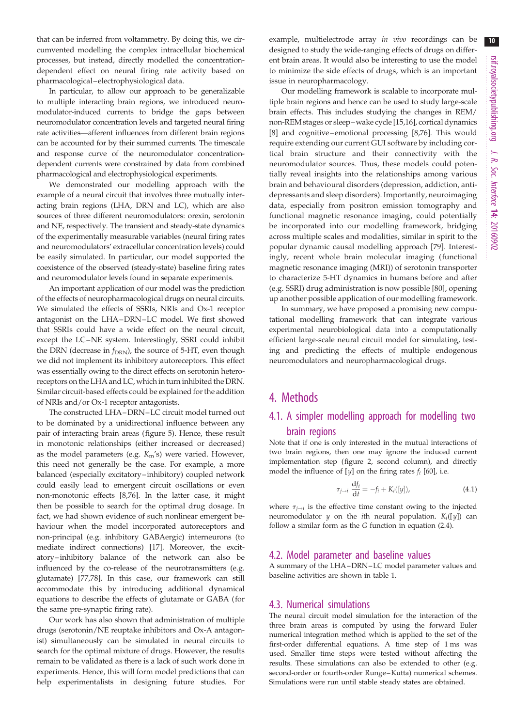that can be inferred from voltammetry. By doing this, we circumvented modelling the complex intracellular biochemical processes, but instead, directly modelled the concentrationdependent effect on neural firing rate activity based on pharmacological–electrophysiological data.

In particular, to allow our approach to be generalizable to multiple interacting brain regions, we introduced neuromodulator-induced currents to bridge the gaps between neuromodulator concentration levels and targeted neural firing rate activities—afferent influences from different brain regions can be accounted for by their summed currents. The timescale and response curve of the neuromodulator concentrationdependent currents were constrained by data from combined pharmacological and electrophysiological experiments.

We demonstrated our modelling approach with the example of a neural circuit that involves three mutually interacting brain regions (LHA, DRN and LC), which are also sources of three different neuromodulators: orexin, serotonin and NE, respectively. The transient and steady-state dynamics of the experimentally measurable variables (neural firing rates and neuromodulators' extracellular concentration levels) could be easily simulated. In particular, our model supported the coexistence of the observed (steady-state) baseline firing rates and neuromodulator levels found in separate experiments.

An important application of our model was the prediction of the effects of neuropharmacological drugs on neural circuits. We simulated the effects of SSRIs, NRIs and Ox-1 receptor antagonist on the LHA–DRN–LC model. We first showed that SSRIs could have a wide effect on the neural circuit, except the LC–NE system. Interestingly, SSRI could inhibit the DRN (decrease in  $f_{\text{DRN}}$ ), the source of 5-HT, even though we did not implement its inhibitory autoreceptors. This effect was essentially owing to the direct effects on serotonin heteroreceptors on the LHA and LC, which in turn inhibited the DRN. Similar circuit-based effects could be explained for the addition of NRIs and/or Ox-1 receptor antagonists.

The constructed LHA–DRN –LC circuit model turned out to be dominated by a unidirectional influence between any pair of interacting brain areas ([figure 5](#page-7-0)). Hence, these result in monotonic relationships (either increased or decreased) as the model parameters (e.g.  $K_m$ 's) were varied. However, this need not generally be the case. For example, a more balanced (especially excitatory –inhibitory) coupled network could easily lead to emergent circuit oscillations or even non-monotonic effects [[8](#page-10-0)[,76](#page-12-0)]. In the latter case, it might then be possible to search for the optimal drug dosage. In fact, we had shown evidence of such nonlinear emergent behaviour when the model incorporated autoreceptors and non-principal (e.g. inhibitory GABAergic) interneurons (to mediate indirect connections) [\[17](#page-10-0)]. Moreover, the excitatory –inhibitory balance of the network can also be influenced by the co-release of the neurotransmitters (e.g. glutamate) [\[77](#page-12-0),[78\]](#page-12-0). In this case, our framework can still accommodate this by introducing additional dynamical equations to describe the effects of glutamate or GABA (for the same pre-synaptic firing rate).

Our work has also shown that administration of multiple drugs (serotonin/NE reuptake inhibitors and Ox-A antagonist) simultaneously can be simulated in neural circuits to search for the optimal mixture of drugs. However, the results remain to be validated as there is a lack of such work done in experiments. Hence, this will form model predictions that can help experimentalists in designing future studies. For

example, multielectrode array in vivo recordings can be designed to study the wide-ranging effects of drugs on different brain areas. It would also be interesting to use the model to minimize the side effects of drugs, which is an important issue in neuropharmacology.

Our modelling framework is scalable to incorporate multiple brain regions and hence can be used to study large-scale brain effects. This includes studying the changes in REM/ non-REM stages or sleep–wake cycle [\[15,16](#page-10-0)], cortical dynamics [[8](#page-10-0)] and cognitive–emotional processing [[8](#page-10-0),[76](#page-12-0)]. This would require extending our current GUI software by including cortical brain structure and their connectivity with the neuromodulator sources. Thus, these models could potentially reveal insights into the relationships among various brain and behavioural disorders (depression, addiction, antidepressants and sleep disorders). Importantly, neuroimaging data, especially from positron emission tomography and functional magnetic resonance imaging, could potentially be incorporated into our modelling framework, bridging across multiple scales and modalities, similar in spirit to the popular dynamic causal modelling approach [[79](#page-12-0)]. Interestingly, recent whole brain molecular imaging (functional magnetic resonance imaging (MRI)) of serotonin transporter to characterize 5-HT dynamics in humans before and after (e.g. SSRI) drug administration is now possible [\[80\]](#page-12-0), opening up another possible application of our modelling framework.

In summary, we have proposed a promising new computational modelling framework that can integrate various experimental neurobiological data into a computationally efficient large-scale neural circuit model for simulating, testing and predicting the effects of multiple endogenous neuromodulators and neuropharmacological drugs.

## 4. Methods

## 4.1. A simpler modelling approach for modelling two brain regions

Note that if one is only interested in the mutual interactions of two brain regions, then one may ignore the induced current implementation step [\(figure 2](#page-2-0), second column), and directly model the influence of [y] on the firing rates  $f_i$  [\[60\]](#page-11-0), i.e.

$$
\tau_{j \to i} \frac{\mathrm{d}f_i}{\mathrm{d}t} = -f_i + K_i([y]), \tag{4.1}
$$

where  $\tau_{i \to i}$  is the effective time constant owing to the injected neuromodulator  $y$  on the *i*th neural population.  $K_i([y])$  can follow a similar form as the G function in equation (2.4).

#### 4.2. Model parameter and baseline values

A summary of the LHA–DRN –LC model parameter values and baseline activities are shown in [table 1](#page-3-0).

#### 4.3. Numerical simulations

The neural circuit model simulation for the interaction of the three brain areas is computed by using the forward Euler numerical integration method which is applied to the set of the first-order differential equations. A time step of 1 ms was used. Smaller time steps were tested without affecting the results. These simulations can also be extended to other (e.g. second-order or fourth-order Runge –Kutta) numerical schemes. Simulations were run until stable steady states are obtained.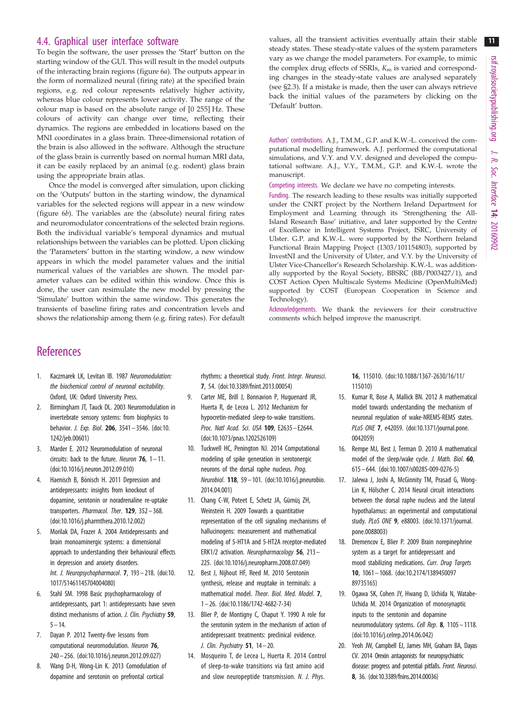## <span id="page-10-0"></span>4.4. Graphical user interface software

To begin the software, the user presses the 'Start' button on the starting window of the GUI. This will result in the model outputs of the interacting brain regions [\(figure 6](#page-8-0)a). The outputs appear in the form of normalized neural (firing rate) at the specified brain regions, e.g. red colour represents relatively higher activity, whereas blue colour represents lower activity. The range of the colour map is based on the absolute range of [0 255] Hz. These colours of activity can change over time, reflecting their dynamics. The regions are embedded in locations based on the MNI coordinates in a glass brain. Three-dimensional rotation of the brain is also allowed in the software. Although the structure of the glass brain is currently based on normal human MRI data, it can be easily replaced by an animal (e.g. rodent) glass brain using the appropriate brain atlas.

Once the model is converged after simulation, upon clicking on the 'Outputs' button in the starting window, the dynamical variables for the selected regions will appear in a new window [\(figure 6](#page-8-0)b). The variables are the (absolute) neural firing rates and neuromodulator concentrations of the selected brain regions. Both the individual variable's temporal dynamics and mutual relationships between the variables can be plotted. Upon clicking the 'Parameters' button in the starting window, a new window appears in which the model parameter values and the initial numerical values of the variables are shown. The model parameter values can be edited within this window. Once this is done, the user can resimulate the new model by pressing the 'Simulate' button within the same window. This generates the transients of baseline firing rates and concentration levels and shows the relationship among them (e.g. firing rates). For default values, all the transient activities eventually attain their stable steady states. These steady-state values of the system parameters vary as we change the model parameters. For example, to mimic the complex drug effects of SSRIs,  $K<sub>m</sub>$  is varied and corresponding changes in the steady-state values are analysed separately (see §2.3). If a mistake is made, then the user can always retrieve back the initial values of the parameters by clicking on the 'Default' button.

Authors' contributions. A.J., T.M.M., G.P. and K.W.-L. conceived the computational modelling framework. A.J. performed the computational simulations, and V.Y. and V.V. designed and developed the computational software. A.J., V.Y., T.M.M., G.P. and K.W.-L wrote the manuscript.

Competing interests. We declare we have no competing interests.

Funding. The research leading to these results was initially supported under the CNRT project by the Northern Ireland Department for Employment and Learning through its 'Strengthening the All-Island Research Base' initiative, and later supported by the Centre of Excellence in Intelligent Systems Project, ISRC, University of Ulster. G.P. and K.W.-L. were supported by the Northern Ireland Functional Brain Mapping Project (1303/101154803), supported by InvestNI and the University of Ulster, and V.Y. by the University of Ulster Vice-Chancellor's Research Scholarship. K.W.-L. was additionally supported by the Royal Society, BBSRC (BB/P003427/1), and COST Action Open Multiscale Systems Medicine (OpenMultiMed) supported by COST (European Cooperation in Science and Technology).

Acknowledgements. We thank the reviewers for their constructive comments which helped improve the manuscript.

## **References**

- 1. Kaczmarek LK, Levitan IB. 1987 Neuromodulation: the biochemical control of neuronal excitability. Oxford, UK: Oxford University Press.
- 2. Birmingham JT, Tauck DL. 2003 Neuromodulation in invertebrate sensory systems: from biophysics to behavior. J. Exp. Biol. 206, 3541– 3546. [\(doi:10.](http://dx.doi.org/10.1242/jeb.00601) [1242/jeb.00601](http://dx.doi.org/10.1242/jeb.00601))
- 3. Marder E. 2012 Neuromodulation of neuronal circuits: back to the future. Neuron  $76$ ,  $1-11$ . [\(doi:10.1016/j.neuron.2012.09.010\)](http://dx.doi.org/10.1016/j.neuron.2012.09.010)
- 4. Haenisch B, Bönisch H. 2011 Depression and antidepressants: insights from knockout of dopamine, serotonin or noradrenaline re-uptake transporters. Pharmacol. Ther. 129, 352-368. [\(doi:10.1016/j.pharmthera.2010.12.002\)](http://dx.doi.org/10.1016/j.pharmthera.2010.12.002)
- 5. Morilak DA, Frazer A. 2004 Antidepressants and brain monoaminergic systems: a dimensional approach to understanding their behavioural effects in depression and anxiety disorders. Int. J. Neuropsychopharmacol. **7**, 193 - 218. ([doi:10.](http://dx.doi.org/10.1017/S1461145704004080) [1017/S1461145704004080](http://dx.doi.org/10.1017/S1461145704004080))
- Stahl SM. 1998 Basic psychopharmacology of antidepressants, part 1: antidepressants have seven distinct mechanisms of action. J. Clin. Psychiatry 59,  $5 - 14.$
- 7. Dayan P. 2012 Twenty-five lessons from computational neuromodulation. Neuron 76, 240– 256. ([doi:10.1016/j.neuron.2012.09.027](http://dx.doi.org/10.1016/j.neuron.2012.09.027))
- 8. Wang D-H, Wong-Lin K. 2013 Comodulation of dopamine and serotonin on prefrontal cortical

rhythms: a theoretical study. Front. Integr. Neurosci. 7, 54. [\(doi:10.3389/fnint.2013.00054](http://dx.doi.org/10.3389/fnint.2013.00054))

- 9. Carter ME, Brill J, Bonnavion P, Huguenard JR, Huerta R, de Lecea L. 2012 Mechanism for hypocretin-mediated sleep-to-wake transitions. Proc. Natl Acad. Sci. USA 109, E2635-E2644. [\(doi:10.1073/pnas.1202526109\)](http://dx.doi.org/10.1073/pnas.1202526109)
- 10. Tuckwell HC, Penington NJ. 2014 Computational modeling of spike generation in serotonergic neurons of the dorsal raphe nucleus. Prog. Neurobiol. 118, 59– 101. [\(doi:10.1016/j.pneurobio.](http://dx.doi.org/10.1016/j.pneurobio.2014.04.001) [2014.04.001\)](http://dx.doi.org/10.1016/j.pneurobio.2014.04.001)
- 11. Chang C-W, Poteet E, Schetz JA, Gümüş ZH, Weinstein H. 2009 Towards a quantitative representation of the cell signaling mechanisms of hallucinogens: measurement and mathematical modeling of 5-HT1A and 5-HT2A receptor-mediated ERK1/2 activation. Neuropharmacology 56, 213-225. ([doi:10.1016/j.neuropharm.2008.07.049\)](http://dx.doi.org/10.1016/j.neuropharm.2008.07.049)
- 12. Best J, Nijhout HF, Reed M. 2010 Serotonin synthesis, release and reuptake in terminals: a mathematical model. Theor. Biol. Med. Model. 7, 1 – 26. [\(doi:10.1186/1742-4682-7-34](http://dx.doi.org/10.1186/1742-4682-7-34))
- 13. Blier P, de Montigny C, Chaput Y. 1990 A role for the serotonin system in the mechanism of action of antidepressant treatments: preclinical evidence. J. Clin. Psychiatry  $51$ ,  $14-20$ .
- 14. Mosqueiro T, de Lecea L, Huerta R. 2014 Control of sleep-to-wake transitions via fast amino acid and slow neuropeptide transmission. N. J. Phys.

16, 115010. ([doi:10.1088/1367-2630/16/11/](http://dx.doi.org/10.1088/1367-2630/16/11/115010) [115010\)](http://dx.doi.org/10.1088/1367-2630/16/11/115010)

- 15. Kumar R, Bose A, Mallick BN. 2012 A mathematical model towards understanding the mechanism of neuronal regulation of wake-NREMS-REMS states. PLoS ONE 7, e42059. ([doi:10.1371/journal.pone.](http://dx.doi.org/10.1371/journal.pone.0042059) [0042059](http://dx.doi.org/10.1371/journal.pone.0042059))
- 16. Rempe MJ, Best J, Terman D. 2010 A mathematical model of the sleep/wake cycle. J. Math. Biol. 60, 615– 644. [\(doi:10.1007/s00285-009-0276-5](http://dx.doi.org/10.1007/s00285-009-0276-5))
- 17. Jalewa J, Joshi A, McGinnity TM, Prasad G, Wong-Lin K, Hölscher C. 2014 Neural circuit interactions between the dorsal raphe nucleus and the lateral hypothalamus: an experimental and computational study. PLoS ONE 9, e88003. [\(doi:10.1371/journal.](http://dx.doi.org/10.1371/journal.pone.0088003) [pone.0088003\)](http://dx.doi.org/10.1371/journal.pone.0088003)
- 18. Dremencov E, Blier P. 2009 Brain norepinephrine system as a target for antidepressant and mood stabilizing medications. Curr. Drug Targets 10, 1061– 1068. [\(doi:10.2174/1389450097](http://dx.doi.org/10.2174/138945009789735165) [89735165\)](http://dx.doi.org/10.2174/138945009789735165)
- 19. Ogawa SK, Cohen JY, Hwang D, Uchida N, Watabe-Uchida M. 2014 Organization of monosynaptic inputs to the serotonin and dopamine neuromodulatory systems. Cell Rep. 8, 1105 – 1118. ([doi:10.1016/j.celrep.2014.06.042\)](http://dx.doi.org/10.1016/j.celrep.2014.06.042)
- 20. Yeoh JW, Campbell EJ, James MH, Graham BA, Dayas CV. 2014 Orexin antagonists for neuropsychiatric disease: progress and potential pitfalls. Front. Neurosci. 8, 36. ([doi:10.3389/fnins.2014.00036\)](http://dx.doi.org/10.3389/fnins.2014.00036)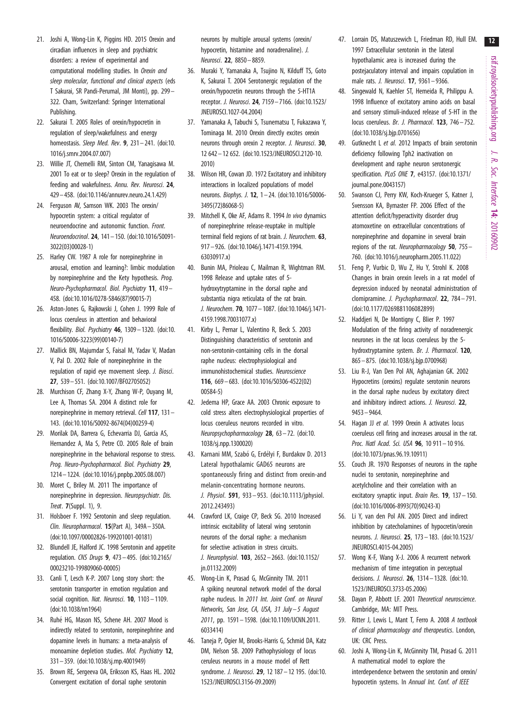$12$ 

- <span id="page-11-0"></span>21. Joshi A, Wong-Lin K, Piggins HD. 2015 Orexin and circadian influences in sleep and psychiatric disorders: a review of experimental and computational modelling studies. In Orexin and sleep molecular, functional and clinical aspects (eds T Sakurai, SR Pandi-Perumal, JM Monti), pp. 299– 322. Cham, Switzerland: Springer International Publishing.
- 22. Sakurai T. 2005 Roles of orexin/hypocretin in regulation of sleep/wakefulness and energy homeostasis. Sleep Med. Rev. 9, 231-241. ([doi:10.](http://dx.doi.org/10.1016/j.smrv.2004.07.007) [1016/j.smrv.2004.07.007](http://dx.doi.org/10.1016/j.smrv.2004.07.007))
- 23. Willie JT, Chemelli RM, Sinton CM, Yanagisawa M. 2001 To eat or to sleep? Orexin in the regulation of feeding and wakefulness. Annu. Rev. Neurosci. 24, 429– 458. ([doi:10.1146/annurev.neuro.24.1.429\)](http://dx.doi.org/10.1146/annurev.neuro.24.1.429)
- 24. Ferguson AV, Samson WK. 2003 The orexin/ hypocretin system: a critical regulator of neuroendocrine and autonomic function. Front. Neuroendocrinol. 24, 141– 150. [\(doi:10.1016/S0091-](http://dx.doi.org/10.1016/S0091-3022(03)00028-1) [3022\(03\)00028-1\)](http://dx.doi.org/10.1016/S0091-3022(03)00028-1)
- 25. Harley CW. 1987 A role for norepinephrine in arousal, emotion and learning?: limbic modulation by norepinephrine and the Kety hypothesis. Prog. Neuro-Psychopharmacol. Biol. Psychiatry 11, 419 – 458. [\(doi:10.1016/0278-5846\(87\)90015-7](http://dx.doi.org/10.1016/0278-5846(87)90015-7))
- 26. Aston-Jones G, Rajkowski J, Cohen J. 1999 Role of locus coeruleus in attention and behavioral flexibility. Biol. Psychiatry 46, 1309– 1320. ([doi:10.](http://dx.doi.org/10.1016/S0006-3223(99)00140-7) [1016/S0006-3223\(99\)00140-7\)](http://dx.doi.org/10.1016/S0006-3223(99)00140-7)
- 27. Mallick BN, Majumdar S, Faisal M, Yadav V, Madan V, Pal D. 2002 Role of norepinephrine in the regulation of rapid eye movement sleep. J. Biosci. 27, 539– 551. ([doi:10.1007/BF02705052](http://dx.doi.org/10.1007/BF02705052))
- 28. Murchison CF, Zhang X-Y, Zhang W-P, Ouyang M, Lee A, Thomas SA. 2004 A distinct role for norepinephrine in memory retrieval. Cell 117, 131-143. [\(doi:10.1016/S0092-8674\(04\)00259-4](http://dx.doi.org/10.1016/S0092-8674(04)00259-4))
- 29. Morilak DA, Barrera G, Echevarria DJ, Garcia AS, Hernandez A, Ma S, Petre CO. 2005 Role of brain norepinephrine in the behavioral response to stress. Prog. Neuro-Psychopharmacol. Biol. Psychiatry 29, 1214 – 1224. [\(doi:10.1016/j.pnpbp.2005.08.007](http://dx.doi.org/10.1016/j.pnpbp.2005.08.007))
- 30. Moret C, Briley M. 2011 The importance of norepinephrine in depression. Neuropsychiatr. Dis. Treat. 7(Suppl. 1), 9.
- 31. Holsboer F. 1992 Serotonin and sleep regulation. Clin. Neuropharmacol. 15(Part A), 349A– 350A. [\(doi:10.1097/00002826-199201001-00181\)](http://dx.doi.org/10.1097/00002826-199201001-00181)
- 32. Blundell JE, Halford JC. 1998 Serotonin and appetite regulation. CNS Drugs 9, 473– 495. [\(doi:10.2165/](http://dx.doi.org/10.2165/00023210-199809060-00005) [00023210-199809060-00005](http://dx.doi.org/10.2165/00023210-199809060-00005))
- 33. Canli T, Lesch K-P. 2007 Long story short: the serotonin transporter in emotion regulation and social cognition. Nat. Neurosci. 10, 1103-1109. [\(doi:10.1038/nn1964\)](http://dx.doi.org/10.1038/nn1964)
- 34. Ruhé HG, Mason NS, Schene AH. 2007 Mood is indirectly related to serotonin, norepinephrine and dopamine levels in humans: a meta-analysis of monoamine depletion studies. Mol. Psychiatry 12, 331– 359. ([doi:10.1038/sj.mp.4001949](http://dx.doi.org/10.1038/sj.mp.4001949))
- 35. Brown RE, Sergeeva OA, Eriksson KS, Haas HL. 2002 Convergent excitation of dorsal raphe serotonin

neurons by multiple arousal systems (orexin/ hypocretin, histamine and noradrenaline). *J.* Neurosci. 22, 8850 – 8859.

- 36. Muraki Y, Yamanaka A, Tsujino N, Kilduff TS, Goto K, Sakurai T. 2004 Serotonergic regulation of the orexin/hypocretin neurons through the 5-HT1A receptor. J. Neurosci. 24, 7159– 7166. [\(doi:10.1523/](http://dx.doi.org/10.1523/JNEUROSCI.1027-04.2004) [JNEUROSCI.1027-04.2004\)](http://dx.doi.org/10.1523/JNEUROSCI.1027-04.2004)
- 37. Yamanaka A, Tabuchi S, Tsunematsu T, Fukazawa Y, Tominaga M. 2010 Orexin directly excites orexin neurons through orexin 2 receptor. J. Neurosci. 30, 12 642– 12 652. [\(doi:10.1523/JNEUROSCI.2120-10.](http://dx.doi.org/10.1523/JNEUROSCI.2120-10.2010) [2010](http://dx.doi.org/10.1523/JNEUROSCI.2120-10.2010))
- 38. Wilson HR, Cowan JD. 1972 Excitatory and inhibitory interactions in localized populations of model neurons. Biophys. J. 12, 1 – 24. [\(doi:10.1016/S0006-](http://dx.doi.org/10.1016/S0006-3495(72)86068-5) [3495\(72\)86068-5](http://dx.doi.org/10.1016/S0006-3495(72)86068-5))
- 39. Mitchell K, Oke AF, Adams R. 1994 In vivo dynamics of norepinephrine release-reuptake in multiple terminal field regions of rat brain. J. Neurochem. 63, 917 – 926. [\(doi:10.1046/j.1471-4159.1994.](http://dx.doi.org/10.1046/j.1471-4159.1994.63030917.x) [63030917.x\)](http://dx.doi.org/10.1046/j.1471-4159.1994.63030917.x)
- 40. Bunin MA, Prioleau C, Mailman R, Wightman RM. 1998 Release and uptake rates of 5 hydroxytryptamine in the dorsal raphe and substantia nigra reticulata of the rat brain. J. Neurochem. 70, 1077– 1087. [\(doi:10.1046/j.1471-](http://dx.doi.org/10.1046/j.1471-4159.1998.70031077.x) [4159.1998.70031077.x\)](http://dx.doi.org/10.1046/j.1471-4159.1998.70031077.x)
- 41. Kirby L, Pernar L, Valentino R, Beck S. 2003 Distinguishing characteristics of serotonin and non-serotonin-containing cells in the dorsal raphe nucleus: electrophysiological and immunohistochemical studies. Neuroscience 116, 669 – 683. [\(doi:10.1016/S0306-4522\(02\)](http://dx.doi.org/10.1016/S0306-4522(02)00584-5) [00584-5\)](http://dx.doi.org/10.1016/S0306-4522(02)00584-5)
- 42. Jedema HP, Grace AA. 2003 Chronic exposure to cold stress alters electrophysiological properties of locus coeruleus neurons recorded in vitro. Neuropsychopharmacology 28, 63-72. ([doi:10.](http://dx.doi.org/10.1038/sj.npp.1300020) [1038/sj.npp.1300020\)](http://dx.doi.org/10.1038/sj.npp.1300020)
- 43. Karnani MM, Szabó G, Erdélyi F, Burdakov D. 2013 Lateral hypothalamic GAD65 neurons are spontaneously firing and distinct from orexin-and melanin-concentrating hormone neurons. J. Physiol. 591, 933 – 953. ([doi:10.1113/jphysiol.](http://dx.doi.org/10.1113/jphysiol.2012.243493) [2012.243493\)](http://dx.doi.org/10.1113/jphysiol.2012.243493)
- 44. Crawford LK, Craige CP, Beck SG. 2010 Increased intrinsic excitability of lateral wing serotonin neurons of the dorsal raphe: a mechanism for selective activation in stress circuits. J. Neurophysiol. 103, 2652 – 2663. [\(doi:10.1152/](http://dx.doi.org/10.1152/jn.01132.2009) [jn.01132.2009\)](http://dx.doi.org/10.1152/jn.01132.2009)
- 45. Wong-Lin K, Prasad G, McGinnity TM. 2011 A spiking neuronal network model of the dorsal raphe nucleus. In 2011 Int. Joint Conf. on Neural Networks, San Jose, CA, USA, 31 July-5 August 2011, pp. 1591– 1598. [\(doi:10.1109/IJCNN.2011.](http://dx.doi.org/10.1109/IJCNN.2011.6033414) [6033414\)](http://dx.doi.org/10.1109/IJCNN.2011.6033414)
- 46. Taneja P, Ogier M, Brooks-Harris G, Schmid DA, Katz DM, Nelson SB. 2009 Pathophysiology of locus ceruleus neurons in a mouse model of Rett syndrome. J. Neurosci. 29, 12 187 - 12 195. [\(doi:10.](http://dx.doi.org/10.1523/JNEUROSCI.3156-09.2009) [1523/JNEUROSCI.3156-09.2009\)](http://dx.doi.org/10.1523/JNEUROSCI.3156-09.2009)
- 47. Lorrain DS, Matuszewich L, Friedman RD, Hull EM. 1997 Extracellular serotonin in the lateral hypothalamic area is increased during the postejaculatory interval and impairs copulation in male rats. J. Neurosci. 17, 9361 – 9366.
- 48. Singewald N, Kaehler ST, Hemeida R, Philippu A. 1998 Influence of excitatory amino acids on basal and sensory stimuli-induced release of 5-HT in the locus coeruleus. Br. J. Pharmacol. 123, 746-752. ([doi:10.1038/sj.bjp.0701656](http://dx.doi.org/10.1038/sj.bjp.0701656))
- 49. Gutknecht L et al. 2012 Impacts of brain serotonin deficiency following Tph2 inactivation on development and raphe neuron serotonergic specification. PLoS ONE 7, e43157. ([doi:10.1371/](http://dx.doi.org/10.1371/journal.pone.0043157) [journal.pone.0043157\)](http://dx.doi.org/10.1371/journal.pone.0043157)
- 50. Swanson CJ, Perry KW, Koch-Krueger S, Katner J, Svensson KA, Bymaster FP. 2006 Effect of the attention deficit/hyperactivity disorder drug atomoxetine on extracellular concentrations of norepinephrine and dopamine in several brain regions of the rat. Neuropharmacology 50, 755– 760. ([doi:10.1016/j.neuropharm.2005.11.022\)](http://dx.doi.org/10.1016/j.neuropharm.2005.11.022)
- 51. Feng P, Vurbic D, Wu Z, Hu Y, Strohl K. 2008 Changes in brain orexin levels in a rat model of depression induced by neonatal administration of clomipramine. J. Psychopharmacol. 22, 784 – 791. ([doi:10.1177/0269881106082899](http://dx.doi.org/10.1177/0269881106082899))
- 52. Haddjeri N, De Montigny C, Blier P. 1997 Modulation of the firing activity of noradrenergic neurones in the rat locus coeruleus by the 5 hydroxtryptamine system. Br. J. Pharmacol. 120, 865– 875. [\(doi:10.1038/sj.bjp.0700968\)](http://dx.doi.org/10.1038/sj.bjp.0700968)
- 53. Liu R-J, Van Den Pol AN, Aghajanian GK. 2002 Hypocretins (orexins) regulate serotonin neurons in the dorsal raphe nucleus by excitatory direct and inhibitory indirect actions. J. Neurosci. 22, 9453– 9464.
- 54. Hagan JJ et al. 1999 Orexin A activates locus coeruleus cell firing and increases arousal in the rat. Proc. Natl Acad. Sci. USA 96, 10 911– 10 916. ([doi:10.1073/pnas.96.19.10911\)](http://dx.doi.org/10.1073/pnas.96.19.10911)
- 55. Couch JR. 1970 Responses of neurons in the raphe nuclei to serotonin, norepinephrine and acetylcholine and their correlation with an excitatory synaptic input. Brain Res. 19, 137– 150. ([doi:10.1016/0006-8993\(70\)90243-X\)](http://dx.doi.org/10.1016/0006-8993(70)90243-X)
- 56. Li Y, van den Pol AN. 2005 Direct and indirect inhibition by catecholamines of hypocretin/orexin neurons. J. Neurosci. 25, 173– 183. ([doi:10.1523/](http://dx.doi.org/10.1523/JNEUROSCI.4015-04.2005) [JNEUROSCI.4015-04.2005](http://dx.doi.org/10.1523/JNEUROSCI.4015-04.2005))
- 57. Wong K-F, Wang X-J. 2006 A recurrent network mechanism of time integration in perceptual decisions. J. Neurosci. 26, 1314– 1328. [\(doi:10.](http://dx.doi.org/10.1523/JNEUROSCI.3733-05.2006) [1523/JNEUROSCI.3733-05.2006](http://dx.doi.org/10.1523/JNEUROSCI.3733-05.2006))
- 58. Dayan P, Abbott LF. 2001 Theoretical neuroscience. Cambridge, MA: MIT Press.
- 59. Ritter J, Lewis L, Mant T, Ferro A. 2008 A textbook of clinical pharmacology and therapeutics. London, UK: CRC Press.
- 60. Joshi A, Wong-Lin K, McGinnity TM, Prasad G. 2011 A mathematical model to explore the interdependence between the serotonin and orexin/ hypocretin systems. In Annual Int. Conf. of IEEE